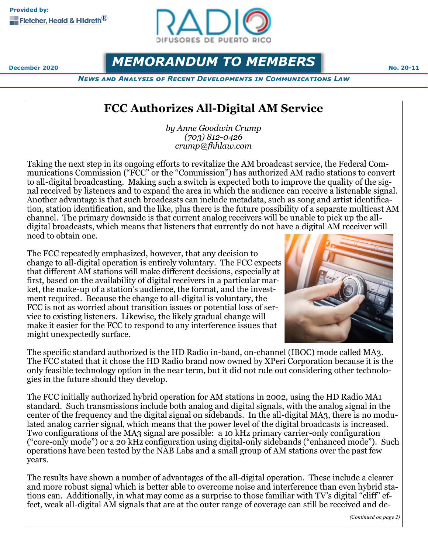

**December 2020 MEMORANDUM TO MEMBERS No. 20-11** 

*News and Analysis of Recent Developments in Communications Law*

# **FCC Authorizes All-Digital AM Service**

*by Anne Goodwin Crump (703) 812-0426 crump@fhhlaw.com*

Taking the next step in its ongoing efforts to revitalize the AM broadcast service, the Federal Communications Commission ("FCC" or the "Commission") has authorized AM radio stations to convert to all-digital broadcasting. Making such a switch is expected both to improve the quality of the signal received by listeners and to expand the area in which the audience can receive a listenable signal. Another advantage is that such broadcasts can include metadata, such as song and artist identification, station identification, and the like, plus there is the future possibility of a separate multicast AM channel. The primary downside is that current analog receivers will be unable to pick up the alldigital broadcasts, which means that listeners that currently do not have a digital AM receiver will need to obtain one.

The FCC repeatedly emphasized, however, that any decision to change to all-digital operation is entirely voluntary. The FCC expects that different AM stations will make different decisions, especially at first, based on the availability of digital receivers in a particular market, the make-up of a station's audience, the format, and the investment required. Because the change to all-digital is voluntary, the FCC is not as worried about transition issues or potential loss of service to existing listeners. Likewise, the likely gradual change will make it easier for the FCC to respond to any interference issues that might unexpectedly surface.



The specific standard authorized is the HD Radio in-band, on-channel (IBOC) mode called MA3. The FCC stated that it chose the HD Radio brand now owned by XPeri Corporation because it is the only feasible technology option in the near term, but it did not rule out considering other technologies in the future should they develop.

The FCC initially authorized hybrid operation for AM stations in 2002, using the HD Radio MA1 standard. Such transmissions include both analog and digital signals, with the analog signal in the center of the frequency and the digital signal on sidebands. In the all-digital MA3, there is no modulated analog carrier signal, which means that the power level of the digital broadcasts is increased. Two configurations of the MA3 signal are possible: a 10 kHz primary carrier-only configuration ("core-only mode") or a 20 kHz configuration using digital-only sidebands ("enhanced mode"). Such operations have been tested by the NAB Labs and a small group of AM stations over the past few years.

The results have shown a number of advantages of the all-digital operation. These include a clearer and more robust signal which is better able to overcome noise and interference than even hybrid stations can. Additionally, in what may come as a surprise to those familiar with TV's digital "cliff" effect, weak all-digital AM signals that are at the outer range of coverage can still be received and de-

*(Continued on page 2)*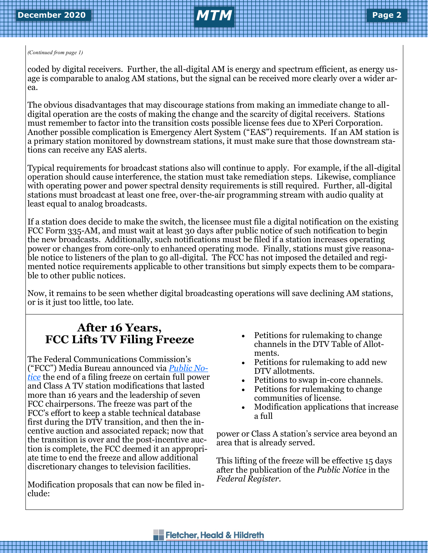### *(Continued from page 1)*

coded by digital receivers. Further, the all-digital AM is energy and spectrum efficient, as energy usage is comparable to analog AM stations, but the signal can be received more clearly over a wider area.

The obvious disadvantages that may discourage stations from making an immediate change to alldigital operation are the costs of making the change and the scarcity of digital receivers. Stations must remember to factor into the transition costs possible license fees due to XPeri Corporation. Another possible complication is Emergency Alert System ("EAS") requirements. If an AM station is a primary station monitored by downstream stations, it must make sure that those downstream stations can receive any EAS alerts.

Typical requirements for broadcast stations also will continue to apply. For example, if the all-digital operation should cause interference, the station must take remediation steps. Likewise, compliance with operating power and power spectral density requirements is still required. Further, all-digital stations must broadcast at least one free, over-the-air programming stream with audio quality at least equal to analog broadcasts.

If a station does decide to make the switch, the licensee must file a digital notification on the existing FCC Form 335-AM, and must wait at least 30 days after public notice of such notification to begin the new broadcasts. Additionally, such notifications must be filed if a station increases operating power or changes from core-only to enhanced operating mode. Finally, stations must give reasonable notice to listeners of the plan to go all-digital. The FCC has not imposed the detailed and regimented notice requirements applicable to other transitions but simply expects them to be comparable to other public notices.

Now, it remains to be seen whether digital broadcasting operations will save declining AM stations, or is it just too little, too late.

# **After 16 Years, FCC Lifts TV Filing Freeze**

The Federal Communications Commission's ("FCC") Media Bureau announced via *[Public No](https://docs.fcc.gov/public/attachments/DA-20-1269A1.pdf)[tice](https://docs.fcc.gov/public/attachments/DA-20-1269A1.pdf)* the end of a filing freeze on certain full power and Class A TV station modifications that lasted more than 16 years and the leadership of seven FCC chairpersons. The freeze was part of the FCC's effort to keep a stable technical database first during the DTV transition, and then the incentive auction and associated repack; now that the transition is over and the post-incentive auction is complete, the FCC deemed it an appropriate time to end the freeze and allow additional discretionary changes to television facilities.

Modification proposals that can now be filed include:

- Petitions for rulemaking to change channels in the DTV Table of Allotments.
- Petitions for rulemaking to add new DTV allotments.
- Petitions to swap in-core channels.
- Petitions for rulemaking to change communities of license.
- Modification applications that increase a full

power or Class A station's service area beyond an area that is already served.

This lifting of the freeze will be effective 15 days after the publication of the *Public Notice* in the *Federal Register.*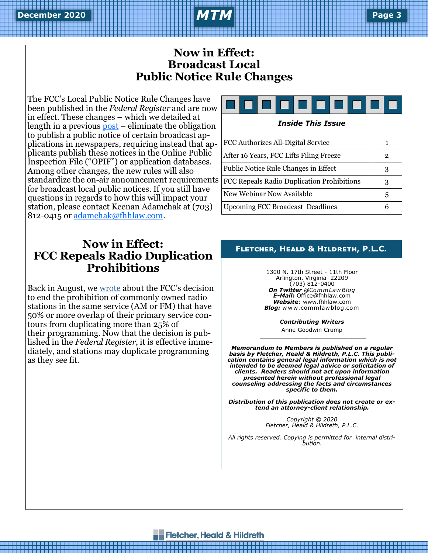## **Now in Effect: Broadcast Local Public Notice Rule Changes**

The FCC's Local Public Notice Rule Changes have been published in the *Federal Register* and are now in effect. These changes – which we detailed at length in a previous  $post$  – eliminate the obligation to publish a public notice of certain broadcast applications in newspapers, requiring instead that applicants publish these notices in the Online Public Inspection File ("OPIF") or application databases. Among other changes, the new rules will also standardize the on-air announcement requirements for broadcast local public notices. If you still have questions in regards to how this will impact your station, please contact Keenan Adamchak at (703) 812-0415 or [adamchak@fhhlaw.com.](mailto:adamchak@fhhlaw.com)

# **Now in Effect: FCC Repeals Radio Duplication Prohibitions**

Back in August, we [wrote](https://www.commlawblog.com/2020/08/articles/broadcast/fcc-repeals-radio-duplication-prohibitions/) about the FCC's decision to end the prohibition of commonly owned radio stations in the same service (AM or FM) that have 50% or more overlap of their primary service contours from duplicating more than 25% of their programming. Now that the decision is published in the *Federal Register*, it is effective immediately, and stations may duplicate programming as they see fit.



### *Inside This Issue*

FCC Authorizes All-Digital Service 1 After 16 Years, FCC Lifts Filing Freeze 2 Public Notice Rule Changes in Effect 3 FCC Repeals Radio Duplication Prohibitions | 3 New Webinar Now Available  $\begin{array}{|c|c|c|c|c|} \hline 5 & 5 \end{array}$ Upcoming FCC Broadcast Deadlines | 6

### **Fletcher, Heald & Hildreth, P.L.C.**

1300 N. 17th Street - 11th Floor Arlington, Virginia 22209 (703) 812-0400 *On Twitter @Comm Law Blog E-Mail***:** Office@fhhlaw.com *Website*: www.fhhlaw.com *Blog:* w w w .commlaw blog.com

*Contributing Writers*

Anne Goodwin Crump \_\_\_\_\_\_\_\_\_\_\_\_\_\_\_\_\_\_\_\_\_\_\_\_\_\_\_\_\_\_

*Memorandum to Members is published on a regular basis by Fletcher, Heald & Hildreth, P.L.C. This publication contains general legal information which is not intended to be deemed legal advice or solicitation of clients. Readers should not act upon information presented herein without professional legal counseling addressing the facts and circumstances specific to them.*

*Distribution of this publication does not create or extend an attorney-client relationship.* 

> *Copyright © 2020 Fletcher, Heald & Hildreth, P.L.C.*

*All rights reserved. Copying is permitted for internal distribution.*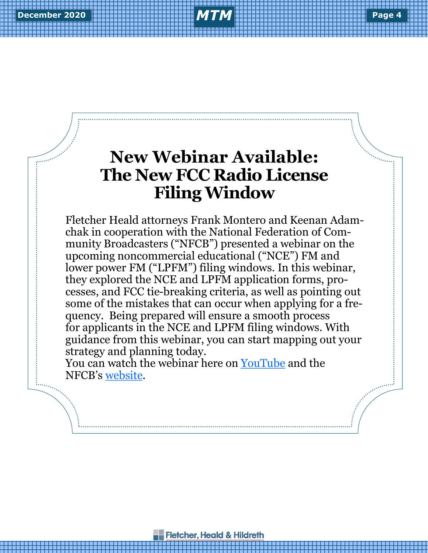# **New Webinar Available: The New FCC Radio License Filing Window**

Fletcher Heald attorneys Frank Montero and Keenan Adamchak in cooperation with the National Federation of Community Broadcasters ("NFCB") presented a webinar on the upcoming noncommercial educational ("NCE") FM and lower power FM ("LPFM") filing windows. In this webinar, they explored the NCE and LPFM application forms, processes, and FCC tie-breaking criteria, as well as pointing out some of the mistakes that can occur when applying for a frequency. Being prepared will ensure a smooth process for applicants in the NCE and LPFM filing windows. With guidance from this webinar, you can start mapping out your strategy and planning today.

You can watch the webinar here on [YouTube](https://youtu.be/EgyH4jXmk70) and the NFCB's [website.](http://nfcb.org/events/)

**Fletcher, Heald & Hildreth**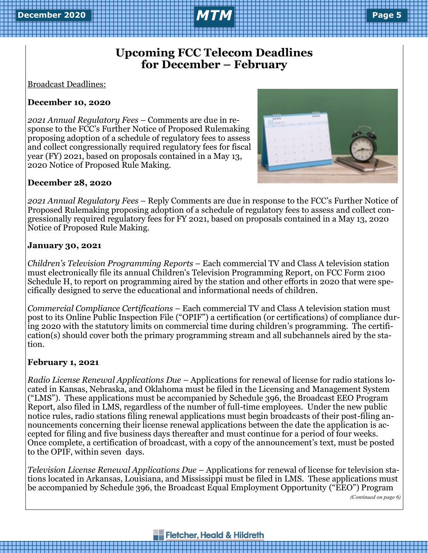# **Upcoming FCC Telecom Deadlines for December – February**

Broadcast Deadlines:

### **December 10, 2020**

*2021 Annual Regulatory Fees* – Comments are due in response to the FCC's Further Notice of Proposed Rulemaking proposing adoption of a schedule of regulatory fees to assess and collect congressionally required regulatory fees for fiscal year (FY) 2021, based on proposals contained in a May 13, 2020 Notice of Proposed Rule Making.



### **December 28, 2020**

*2021 Annual Regulatory Fees* – Reply Comments are due in response to the FCC's Further Notice of Proposed Rulemaking proposing adoption of a schedule of regulatory fees to assess and collect congressionally required regulatory fees for FY 2021, based on proposals contained in a May 13, 2020 Notice of Proposed Rule Making.

### **January 30, 2021**

*Children's Television Programming Reports* – Each commercial TV and Class A television station must electronically file its annual Children's Television Programming Report, on FCC Form 2100 Schedule H, to report on programming aired by the station and other efforts in 2020 that were specifically designed to serve the educational and informational needs of children.

*Commercial Compliance Certifications* – Each commercial TV and Class A television station must post to its Online Public Inspection File ("OPIF") a certification (or certifications) of compliance during 2020 with the statutory limits on commercial time during children's programming. The certification(s) should cover both the primary programming stream and all subchannels aired by the station.

### **February 1, 2021**

*Radio License Renewal Applications Due* – Applications for renewal of license for radio stations located in Kansas, Nebraska, and Oklahoma must be filed in the Licensing and Management System ("LMS"). These applications must be accompanied by Schedule 396, the Broadcast EEO Program Report, also filed in LMS, regardless of the number of full-time employees. Under the new public notice rules, radio stations filing renewal applications must begin broadcasts of their post-filing announcements concerning their license renewal applications between the date the application is accepted for filing and five business days thereafter and must continue for a period of four weeks. Once complete, a certification of broadcast, with a copy of the announcement's text, must be posted to the OPIF, within seven days.

*Television License Renewal Applications Due* – Applications for renewal of license for television stations located in Arkansas, Louisiana, and Mississippi must be filed in LMS. These applications must be accompanied by Schedule 396, the Broadcast Equal Employment Opportunity ("EEO") Program

*(Continued on page 6)*

### **Fletcher, Heald & Hildreth**